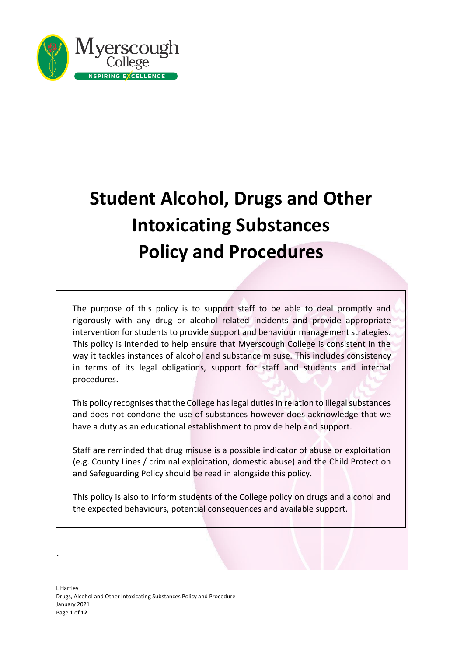

# **Student Alcohol, Drugs and Other Intoxicating Substances Policy and Procedures**

The purpose of this policy is to support staff to be able to deal promptly and rigorously with any drug or alcohol related incidents and provide appropriate intervention for students to provide support and behaviour management strategies. This policy is intended to help ensure that Myerscough College is consistent in the way it tackles instances of alcohol and substance misuse. This includes consistency in terms of its legal obligations, support for staff and students and internal procedures.

This policy recognises that the College has legal duties in relation to illegal substances and does not condone the use of substances however does acknowledge that we have a duty as an educational establishment to provide help and support.

Staff are reminded that drug misuse is a possible indicator of abuse or exploitation (e.g. County Lines / criminal exploitation, domestic abuse) and the Child Protection and Safeguarding Policy should be read in alongside this policy.

This policy is also to inform students of the College policy on drugs and alcohol and the expected behaviours, potential consequences and available support.

**`**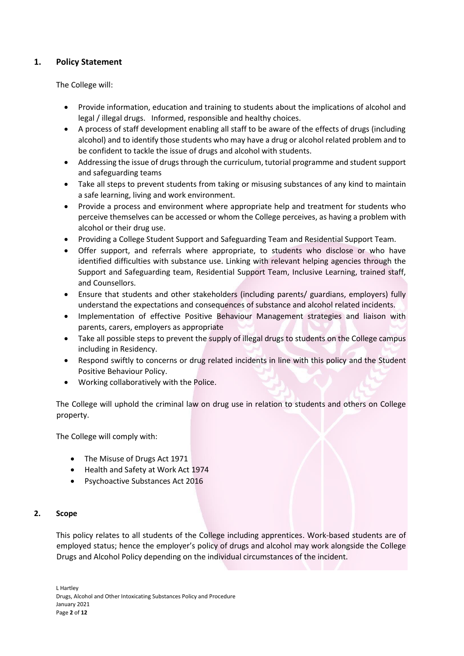# **1. Policy Statement**

The College will:

- Provide information, education and training to students about the implications of alcohol and legal / illegal drugs. Informed, responsible and healthy choices.
- A process of staff development enabling all staff to be aware of the effects of drugs (including alcohol) and to identify those students who may have a drug or alcohol related problem and to be confident to tackle the issue of drugs and alcohol with students.
- Addressing the issue of drugs through the curriculum, tutorial programme and student support and safeguarding teams
- Take all steps to prevent students from taking or misusing substances of any kind to maintain a safe learning, living and work environment.
- Provide a process and environment where appropriate help and treatment for students who perceive themselves can be accessed or whom the College perceives, as having a problem with alcohol or their drug use.
- Providing a College Student Support and Safeguarding Team and Residential Support Team.
- Offer support, and referrals where appropriate, to students who disclose or who have identified difficulties with substance use. Linking with relevant helping agencies through the Support and Safeguarding team, Residential Support Team, Inclusive Learning, trained staff, and Counsellors.
- Ensure that students and other stakeholders (including parents/ guardians, employers) fully understand the expectations and consequences of substance and alcohol related incidents.
- Implementation of effective Positive Behaviour Management strategies and liaison with parents, carers, employers as appropriate
- Take all possible steps to prevent the supply of illegal drugs to students on the College campus including in Residency.
- Respond swiftly to concerns or drug related incidents in line with this policy and the Student Positive Behaviour Policy.
- Working collaboratively with the Police.

The College will uphold the criminal law on drug use in relation to students and others on College property.

The College will comply with:

- The Misuse of Drugs Act 1971
- Health and Safety at Work Act 1974
- Psychoactive Substances Act 2016

# **2. Scope**

This policy relates to all students of the College including apprentices. Work-based students are of employed status; hence the employer's policy of drugs and alcohol may work alongside the College Drugs and Alcohol Policy depending on the individual circumstances of the incident.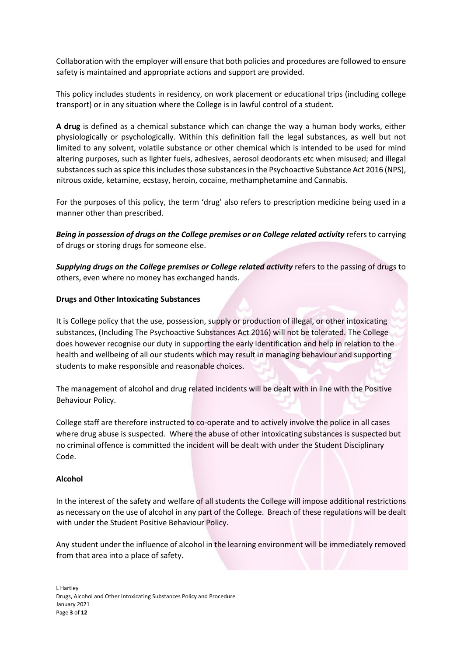Collaboration with the employer will ensure that both policies and procedures are followed to ensure safety is maintained and appropriate actions and support are provided.

This policy includes students in residency, on work placement or educational trips (including college transport) or in any situation where the College is in lawful control of a student.

**A drug** is defined as a chemical substance which can change the way a human body works, either physiologically or psychologically. Within this definition fall the legal substances, as well but not limited to any solvent, volatile substance or other chemical which is intended to be used for mind altering purposes, such as lighter fuels, adhesives, aerosol deodorants etc when misused; and illegal substances such as spice this includes those substances in the Psychoactive Substance Act 2016 (NPS), nitrous oxide, ketamine, ecstasy, heroin, cocaine, methamphetamine and Cannabis.

For the purposes of this policy, the term 'drug' also refers to prescription medicine being used in a manner other than prescribed.

*Being in possession of drugs on the College premises or on College related activity* refers to carrying of drugs or storing drugs for someone else.

*Supplying drugs on the College premises or College related activity* refers to the passing of drugs to others, even where no money has exchanged hands.

# **Drugs and Other Intoxicating Substances**

It is College policy that the use, possession, supply or production of illegal, or other intoxicating substances, (Including The Psychoactive Substances Act 2016) will not be tolerated. The College does however recognise our duty in supporting the early identification and help in relation to the health and wellbeing of all our students which may result in managing behaviour and supporting students to make responsible and reasonable choices.

The management of alcohol and drug related incidents will be dealt with in line with the Positive Behaviour Policy.

College staff are therefore instructed to co-operate and to actively involve the police in all cases where drug abuse is suspected. Where the abuse of other intoxicating substances is suspected but no criminal offence is committed the incident will be dealt with under the Student Disciplinary Code.

# **Alcohol**

In the interest of the safety and welfare of all students the College will impose additional restrictions as necessary on the use of alcohol in any part of the College. Breach of these regulations will be dealt with under the Student Positive Behaviour Policy.

Any student under the influence of alcohol in the learning environment will be immediately removed from that area into a place of safety.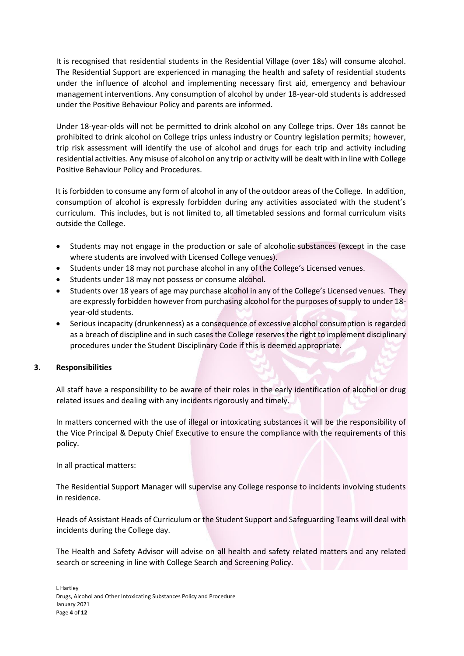It is recognised that residential students in the Residential Village (over 18s) will consume alcohol. The Residential Support are experienced in managing the health and safety of residential students under the influence of alcohol and implementing necessary first aid, emergency and behaviour management interventions. Any consumption of alcohol by under 18-year-old students is addressed under the Positive Behaviour Policy and parents are informed.

Under 18-year-olds will not be permitted to drink alcohol on any College trips. Over 18s cannot be prohibited to drink alcohol on College trips unless industry or Country legislation permits; however, trip risk assessment will identify the use of alcohol and drugs for each trip and activity including residential activities. Any misuse of alcohol on any trip or activity will be dealt with in line with College Positive Behaviour Policy and Procedures.

It is forbidden to consume any form of alcohol in any of the outdoor areas of the College. In addition, consumption of alcohol is expressly forbidden during any activities associated with the student's curriculum. This includes, but is not limited to, all timetabled sessions and formal curriculum visits outside the College.

- Students may not engage in the production or sale of alcoholic substances (except in the case where students are involved with Licensed College venues).
- Students under 18 may not purchase alcohol in any of the College's Licensed venues.
- Students under 18 may not possess or consume alcohol.
- Students over 18 years of age may purchase alcohol in any of the College's Licensed venues. They are expressly forbidden however from purchasing alcohol for the purposes of supply to under 18 year-old students.
- Serious incapacity (drunkenness) as a consequence of excessive alcohol consumption is regarded as a breach of discipline and in such cases the College reserves the right to implement disciplinary procedures under the Student Disciplinary Code if this is deemed appropriate.

# **3. Responsibilities**

All staff have a responsibility to be aware of their roles in the early identification of alcohol or drug related issues and dealing with any incidents rigorously and timely.

In matters concerned with the use of illegal or intoxicating substances it will be the responsibility of the Vice Principal & Deputy Chief Executive to ensure the compliance with the requirements of this policy.

In all practical matters:

The Residential Support Manager will supervise any College response to incidents involving students in residence.

Heads of Assistant Heads of Curriculum or the Student Support and Safeguarding Teams will deal with incidents during the College day.

The Health and Safety Advisor will advise on all health and safety related matters and any related search or screening in line with College Search and Screening Policy.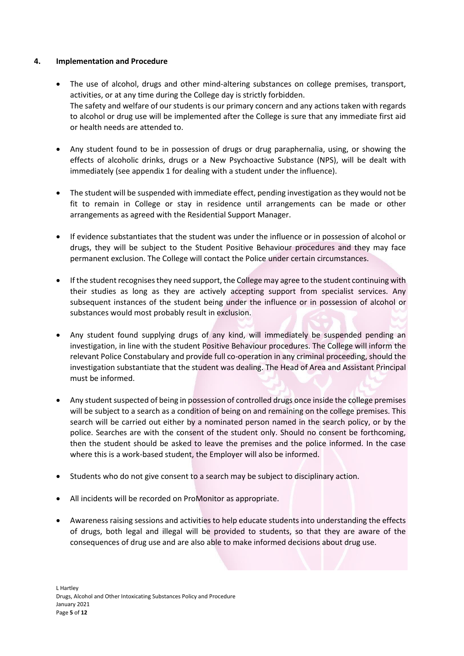# **4. Implementation and Procedure**

- The use of alcohol, drugs and other mind-altering substances on college premises, transport, activities, or at any time during the College day is strictly forbidden. The safety and welfare of our students is our primary concern and any actions taken with regards to alcohol or drug use will be implemented after the College is sure that any immediate first aid or health needs are attended to.
- Any student found to be in possession of drugs or drug paraphernalia, using, or showing the effects of alcoholic drinks, drugs or a New Psychoactive Substance (NPS), will be dealt with immediately (see appendix 1 for dealing with a student under the influence).
- The student will be suspended with immediate effect, pending investigation as they would not be fit to remain in College or stay in residence until arrangements can be made or other arrangements as agreed with the Residential Support Manager.
- If evidence substantiates that the student was under the influence or in possession of alcohol or drugs, they will be subject to the Student Positive Behaviour procedures and they may face permanent exclusion. The College will contact the Police under certain circumstances.
- If the student recognises they need support, the College may agree to the student continuing with their studies as long as they are actively accepting support from specialist services. Any subsequent instances of the student being under the influence or in possession of alcohol or substances would most probably result in exclusion.
- Any student found supplying drugs of any kind, will immediately be suspended pending an investigation, in line with the student Positive Behaviour procedures. The College will inform the relevant Police Constabulary and provide full co-operation in any criminal proceeding, should the investigation substantiate that the student was dealing. The Head of Area and Assistant Principal must be informed.
- Any student suspected of being in possession of controlled drugs once inside the college premises will be subject to a search as a condition of being on and remaining on the college premises. This search will be carried out either by a nominated person named in the search policy, or by the police. Searches are with the consent of the student only. Should no consent be forthcoming, then the student should be asked to leave the premises and the police informed. In the case where this is a work-based student, the Employer will also be informed.
- Students who do not give consent to a search may be subject to disciplinary action.
- All incidents will be recorded on ProMonitor as appropriate.
- Awareness raising sessions and activities to help educate students into understanding the effects of drugs, both legal and illegal will be provided to students, so that they are aware of the consequences of drug use and are also able to make informed decisions about drug use.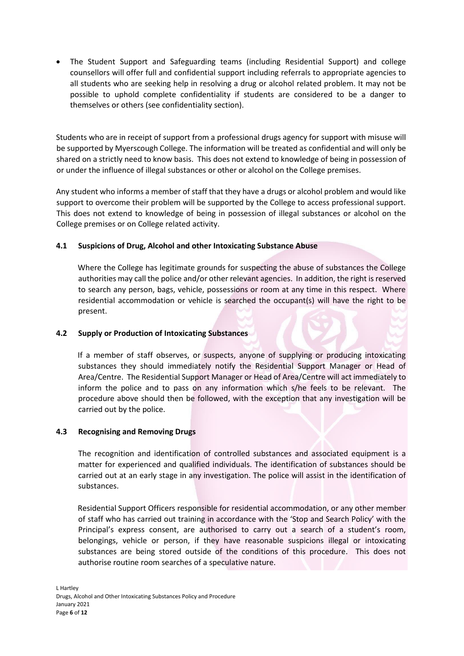• The Student Support and Safeguarding teams (including Residential Support) and college counsellors will offer full and confidential support including referrals to appropriate agencies to all students who are seeking help in resolving a drug or alcohol related problem. It may not be possible to uphold complete confidentiality if students are considered to be a danger to themselves or others (see confidentiality section).

Students who are in receipt of support from a professional drugs agency for support with misuse will be supported by Myerscough College. The information will be treated as confidential and will only be shared on a strictly need to know basis. This does not extend to knowledge of being in possession of or under the influence of illegal substances or other or alcohol on the College premises.

Any student who informs a member of staff that they have a drugs or alcohol problem and would like support to overcome their problem will be supported by the College to access professional support. This does not extend to knowledge of being in possession of illegal substances or alcohol on the College premises or on College related activity.

# **4.1 Suspicions of Drug, Alcohol and other Intoxicating Substance Abuse**

Where the College has legitimate grounds for suspecting the abuse of substances the College authorities may call the police and/or other relevant agencies. In addition, the right is reserved to search any person, bags, vehicle, possessions or room at any time in this respect. Where residential accommodation or vehicle is searched the occupant(s) will have the right to be present.

# **4.2 Supply or Production of Intoxicating Substances**

If a member of staff observes, or suspects, anyone of supplying or producing intoxicating substances they should immediately notify the Residential Support Manager or Head of Area/Centre. The Residential Support Manager or Head of Area/Centre will act immediately to inform the police and to pass on any information which s/he feels to be relevant. The procedure above should then be followed, with the exception that any investigation will be carried out by the police.

# **4.3 Recognising and Removing Drugs**

The recognition and identification of controlled substances and associated equipment is a matter for experienced and qualified individuals. The identification of substances should be carried out at an early stage in any investigation. The police will assist in the identification of substances.

Residential Support Officers responsible for residential accommodation, or any other member of staff who has carried out training in accordance with the 'Stop and Search Policy' with the Principal's express consent, are authorised to carry out a search of a student's room, belongings, vehicle or person, if they have reasonable suspicions illegal or intoxicating substances are being stored outside of the conditions of this procedure. This does not authorise routine room searches of a speculative nature.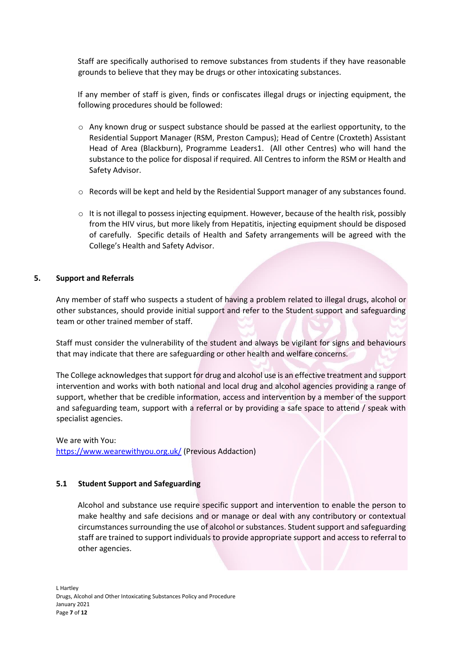Staff are specifically authorised to remove substances from students if they have reasonable grounds to believe that they may be drugs or other intoxicating substances.

If any member of staff is given, finds or confiscates illegal drugs or injecting equipment, the following procedures should be followed:

- $\circ$  Any known drug or suspect substance should be passed at the earliest opportunity, to the Residential Support Manager (RSM, Preston Campus); Head of Centre (Croxteth) Assistant Head of Area (Blackburn), Programme Leaders1. (All other Centres) who will hand the substance to the police for disposal if required. All Centres to inform the RSM or Health and Safety Advisor.
- o Records will be kept and held by the Residential Support manager of any substances found.
- $\circ$  It is not illegal to possess injecting equipment. However, because of the health risk, possibly from the HIV virus, but more likely from Hepatitis, injecting equipment should be disposed of carefully. Specific details of Health and Safety arrangements will be agreed with the College's Health and Safety Advisor.

# **5. Support and Referrals**

Any member of staff who suspects a student of having a problem related to illegal drugs, alcohol or other substances, should provide initial support and refer to the Student support and safeguarding team or other trained member of staff.

Staff must consider the vulnerability of the student and always be vigilant for signs and behaviours that may indicate that there are safeguarding or other health and welfare concerns.

The College acknowledges that support for drug and alcohol use is an effective treatment and support intervention and works with both national and local drug and alcohol agencies providing a range of support, whether that be credible information, access and intervention by a member of the support and safeguarding team, support with a referral or by providing a safe space to attend / speak with specialist agencies.

We are with You: <https://www.wearewithyou.org.uk/> (Previous Addaction)

# **5.1 Student Support and Safeguarding**

Alcohol and substance use require specific support and intervention to enable the person to make healthy and safe decisions and or manage or deal with any contributory or contextual circumstances surrounding the use of alcohol or substances. Student support and safeguarding staff are trained to support individuals to provide appropriate support and access to referral to other agencies.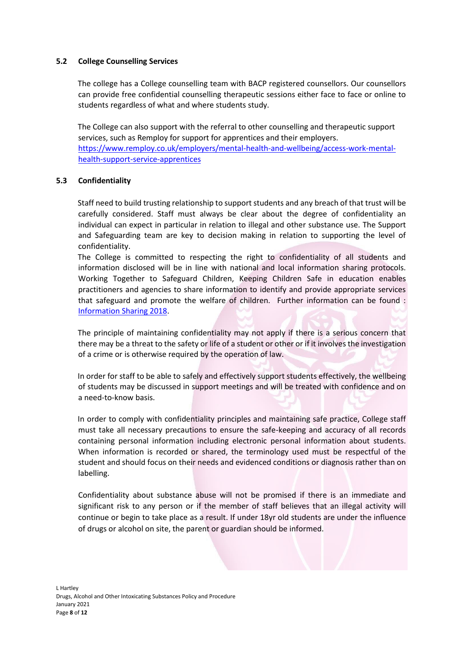# **5.2 College Counselling Services**

The college has a College counselling team with BACP registered counsellors. Our counsellors can provide free confidential counselling therapeutic sessions either face to face or online to students regardless of what and where students study.

The College can also support with the referral to other counselling and therapeutic support services, such as Remploy for support for apprentices and their employers. [https://www.remploy.co.uk/employers/mental-health-and-wellbeing/access-work-mental](https://www.remploy.co.uk/employers/mental-health-and-wellbeing/access-work-mental-health-support-service-apprentices)[health-support-service-apprentices](https://www.remploy.co.uk/employers/mental-health-and-wellbeing/access-work-mental-health-support-service-apprentices)

# **5.3 Confidentiality**

Staff need to build trusting relationship to support students and any breach of that trust will be carefully considered. Staff must always be clear about the degree of confidentiality an individual can expect in particular in relation to illegal and other substance use. The Support and Safeguarding team are key to decision making in relation to supporting the level of confidentiality.

The College is committed to respecting the right to confidentiality of all students and information disclosed will be in line with national and local information sharing protocols. Working Together to Safeguard Children, Keeping Children Safe in education enables practitioners and agencies to share information to identify and provide appropriate services that safeguard and promote the welfare of children. Further information can be found : [Information Sharing 2018.](https://assets.publishing.service.gov.uk/government/uploads/system/uploads/attachment_data/file/721581/Information_sharing_advice_practitioners_safeguarding_services.pdf)

The principle of maintaining confidentiality may not apply if there is a serious concern that there may be a threat to the safety or life of a student or other or if it involves the investigation of a crime or is otherwise required by the operation of law.

In order for staff to be able to safely and effectively support students effectively, the wellbeing of students may be discussed in support meetings and will be treated with confidence and on a need-to-know basis.

In order to comply with confidentiality principles and maintaining safe practice, College staff must take all necessary precautions to ensure the safe-keeping and accuracy of all records containing personal information including electronic personal information about students. When information is recorded or shared, the terminology used must be respectful of the student and should focus on their needs and evidenced conditions or diagnosis rather than on labelling.

Confidentiality about substance abuse will not be promised if there is an immediate and significant risk to any person or if the member of staff believes that an illegal activity will continue or begin to take place as a result. If under 18yr old students are under the influence of drugs or alcohol on site, the parent or guardian should be informed.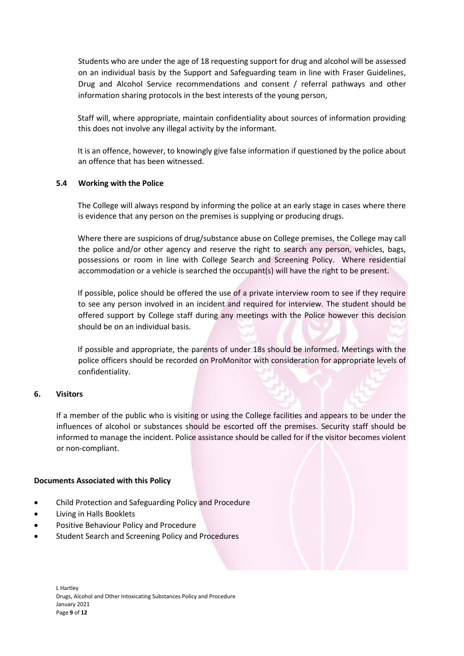Students who are under the age of 18 requesting support for drug and alcohol will be assessed on an individual basis by the Support and Safeguarding team in line with Fraser Guidelines, Drug and Alcohol Service recommendations and consent / referral pathways and other information sharing protocols in the best interests of the young person,

Staff will, where appropriate, maintain confidentiality about sources of information providing this does not involve any illegal activity by the informant.

It is an offence, however, to knowingly give false information if questioned by the police about an offence that has been witnessed.

# **5.4 Working with the Police**

The College will always respond by informing the police at an early stage in cases where there is evidence that any person on the premises is supplying or producing drugs.

Where there are suspicions of drug/substance abuse on College premises, the College may call the police and/or other agency and reserve the right to search any person, vehicles, bags, possessions or room in line with College Search and Screening Policy. Where residential accommodation or a vehicle is searched the occupant(s) will have the right to be present.

If possible, police should be offered the use of a private interview room to see if they require to see any person involved in an incident and required for interview. The student should be offered support by College staff during any meetings with the Police however this decision should be on an individual basis.

If possible and appropriate, the parents of under 18s should be informed. Meetings with the police officers should be recorded on ProMonitor with consideration for appropriate levels of confidentiality.

# **6. Visitors**

If a member of the public who is visiting or using the College facilities and appears to be under the influences of alcohol or substances should be escorted off the premises. Security staff should be informed to manage the incident. Police assistance should be called for if the visitor becomes violent or non-compliant.

# **Documents Associated with this Policy**

- Child Protection and Safeguarding Policy and Procedure
- Living in Halls Booklets
- Positive Behaviour Policy and Procedure
- Student Search and Screening Policy and Procedures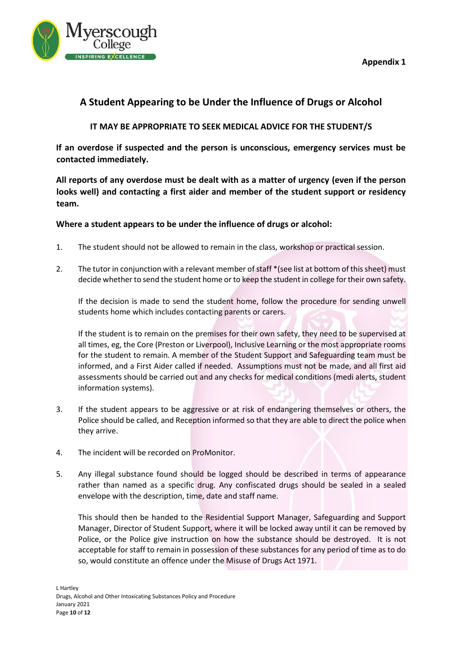

# **A Student Appearing to be Under the Influence of Drugs or Alcohol**

# **IT MAY BE APPROPRIATE TO SEEK MEDICAL ADVICE FOR THE STUDENT/S**

**If an overdose if suspected and the person is unconscious, emergency services must be contacted immediately.**

**All reports of any overdose must be dealt with as a matter of urgency (even if the person looks well) and contacting a first aider and member of the student support or residency team.**

**Where a student appears to be under the influence of drugs or alcohol:**

- 1. The student should not be allowed to remain in the class, workshop or practical session.
- 2. The tutor in conjunction with a relevant member of staff \*(see list at bottom of this sheet) must decide whether to send the student home or to keep the student in college for their own safety.

If the decision is made to send the student home, follow the procedure for sending unwell students home which includes contacting parents or carers.

If the student is to remain on the premises for their own safety, they need to be supervised at all times, eg, the Core (Preston or Liverpool), Inclusive Learning or the most appropriate rooms for the student to remain. A member of the Student Support and Safeguarding team must be informed, and a First Aider called if needed. Assumptions must not be made, and all first aid assessments should be carried out and any checks for medical conditions (medi alerts, student information systems).

- 3. If the student appears to be aggressive or at risk of endangering themselves or others, the Police should be called, and Reception informed so that they are able to direct the police when they arrive.
- 4. The incident will be recorded on ProMonitor.
- 5. Any illegal substance found should be logged should be described in terms of appearance rather than named as a specific drug. Any confiscated drugs should be sealed in a sealed envelope with the description, time, date and staff name.

This should then be handed to the Residential Support Manager, Safeguarding and Support Manager, Director of Student Support, where it will be locked away until it can be removed by Police, or the Police give instruction on how the substance should be destroyed. It is not acceptable for staff to remain in possession of these substances for any period of time as to do so, would constitute an offence under the Misuse of Drugs Act 1971.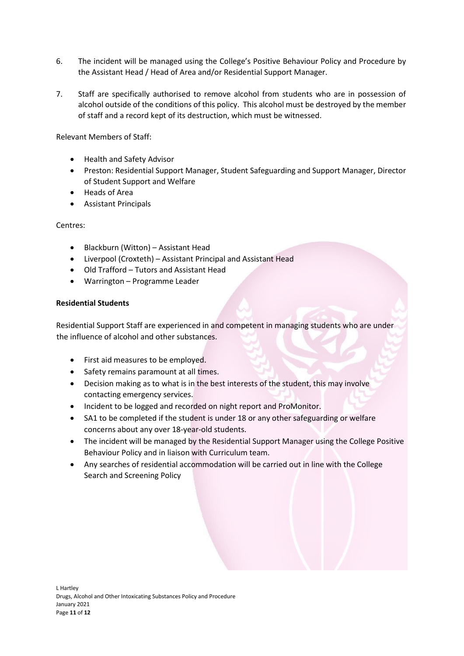- 6. The incident will be managed using the College's Positive Behaviour Policy and Procedure by the Assistant Head / Head of Area and/or Residential Support Manager.
- 7. Staff are specifically authorised to remove alcohol from students who are in possession of alcohol outside of the conditions of this policy. This alcohol must be destroyed by the member of staff and a record kept of its destruction, which must be witnessed.

Relevant Members of Staff:

- Health and Safety Advisor
- Preston: Residential Support Manager, Student Safeguarding and Support Manager, Director of Student Support and Welfare
- Heads of Area
- Assistant Principals

Centres:

- Blackburn (Witton) Assistant Head
- Liverpool (Croxteth) Assistant Principal and Assistant Head
- Old Trafford Tutors and Assistant Head
- Warrington Programme Leader

# **Residential Students**

Residential Support Staff are experienced in and competent in managing students who are under the influence of alcohol and other substances.

- First aid measures to be employed.
- Safety remains paramount at all times.
- Decision making as to what is in the best interests of the student, this may involve contacting emergency services.
- Incident to be logged and recorded on night report and ProMonitor.
- SA1 to be completed if the student is under 18 or any other safeguarding or welfare concerns about any over 18-year-old students.
- The incident will be managed by the Residential Support Manager using the College Positive Behaviour Policy and in liaison with Curriculum team.
- Any searches of residential accommodation will be carried out in line with the College Search and Screening Policy